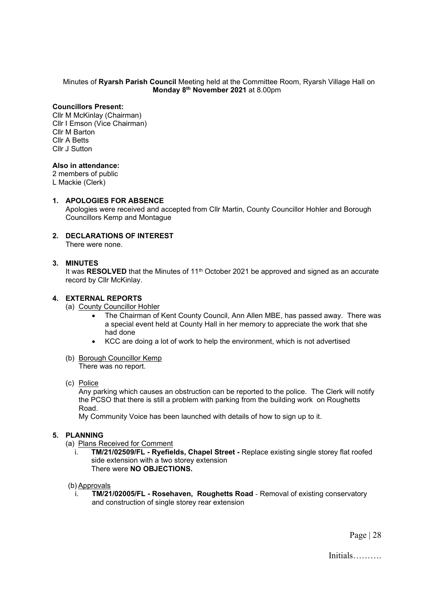## Minutes of **Ryarsh Parish Council** Meeting held at the Committee Room, Ryarsh Village Hall on **Monday 8 th November 2021** at 8.00pm

# **Councillors Present:**

Cllr M McKinlay (Chairman) Cllr I Emson (Vice Chairman) Cllr M Barton Cllr A Betts Cllr J Sutton

# **Also in attendance:**

2 members of public

L Mackie (Clerk)

## **1. APOLOGIES FOR ABSENCE**

Apologies were received and accepted from Cllr Martin, County Councillor Hohler and Borough Councillors Kemp and Montague

**2. DECLARATIONS OF INTEREST** There were none.

# **3. MINUTES**

It was **RESOLVED** that the Minutes of 11<sup>th</sup> October 2021 be approved and signed as an accurate record by Cllr McKinlay.

## **4. EXTERNAL REPORTS**

- (a) County Councillor Hohler
	- The Chairman of Kent County Council, Ann Allen MBE, has passed away. There was a special event held at County Hall in her memory to appreciate the work that she had done
	- KCC are doing a lot of work to help the environment, which is not advertised
- (b) Borough Councillor Kemp

There was no report.

(c) Police

Any parking which causes an obstruction can be reported to the police. The Clerk will notify the PCSO that there is still a problem with parking from the building work on Roughetts Road.

My Community Voice has been launched with details of how to sign up to it.

# **5. PLANNING**

- (a) Plans Received for Comment
	- i. **TM/21/02509/FL - Ryefields, Chapel Street -** Replace existing single storey flat roofed side extension with a two storey extension There were **NO OBJECTIONS.**

#### (b) Approvals

i. **TM/21/02005/FL - Rosehaven, Roughetts Road** - Removal of existing conservatory and construction of single storey rear extension

Page | 28

Initials……….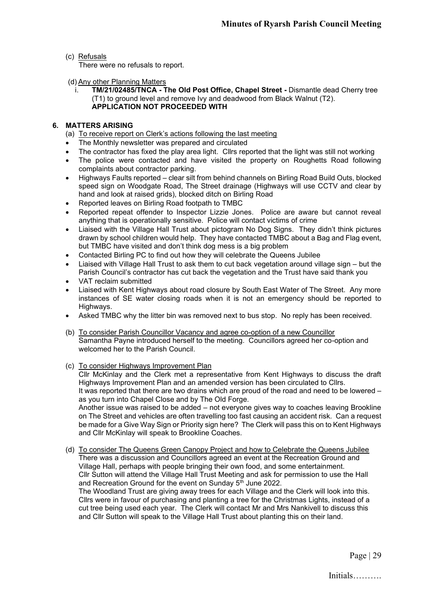# (c) Refusals

There were no refusals to report.

(d) Any other Planning Matters

i. **TM/21/02485/TNCA - The Old Post Office, Chapel Street -** Dismantle dead Cherry tree (T1) to ground level and remove Ivy and deadwood from Black Walnut (T2). **APPLICATION NOT PROCEEDED WITH**

# **6. MATTERS ARISING**

- (a) To receive report on Clerk's actions following the last meeting
- The Monthly newsletter was prepared and circulated
- The contractor has fixed the play area light. Cllrs reported that the light was still not working
- The police were contacted and have visited the property on Roughetts Road following complaints about contractor parking.
- Highways Faults reported clear silt from behind channels on Birling Road Build Outs, blocked speed sign on Woodgate Road, The Street drainage (Highways will use CCTV and clear by hand and look at raised grids), blocked ditch on Birling Road
- Reported leaves on Birling Road footpath to TMBC
- Reported repeat offender to Inspector Lizzie Jones. Police are aware but cannot reveal anything that is operationally sensitive. Police will contact victims of crime
- Liaised with the Village Hall Trust about pictogram No Dog Signs. They didn't think pictures drawn by school children would help. They have contacted TMBC about a Bag and Flag event, but TMBC have visited and don't think dog mess is a big problem
- Contacted Birling PC to find out how they will celebrate the Queens Jubilee
- Liaised with Village Hall Trust to ask them to cut back vegetation around village sign but the Parish Council's contractor has cut back the vegetation and the Trust have said thank you
- VAT reclaim submitted
- Liaised with Kent Highways about road closure by South East Water of The Street. Any more instances of SE water closing roads when it is not an emergency should be reported to Highways.
- Asked TMBC why the litter bin was removed next to bus stop. No reply has been received.
- (b) To consider Parish Councillor Vacancy and agree co-option of a new Councillor Samantha Payne introduced herself to the meeting. Councillors agreed her co-option and welcomed her to the Parish Council.
- (c) To consider Highways Improvement Plan

Cllr McKinlay and the Clerk met a representative from Kent Highways to discuss the draft Highways Improvement Plan and an amended version has been circulated to Cllrs. It was reported that there are two drains which are proud of the road and need to be lowered – as you turn into Chapel Close and by The Old Forge. Another issue was raised to be added – not everyone gives way to coaches leaving Brookline

on The Street and vehicles are often travelling too fast causing an accident risk. Can a request be made for a Give Way Sign or Priority sign here? The Clerk will pass this on to Kent Highways and Cllr McKinlay will speak to Brookline Coaches.

(d) To consider The Queens Green Canopy Project and how to Celebrate the Queens Jubilee There was a discussion and Councillors agreed an event at the Recreation Ground and Village Hall, perhaps with people bringing their own food, and some entertainment. Cllr Sutton will attend the Village Hall Trust Meeting and ask for permission to use the Hall and Recreation Ground for the event on Sunday 5<sup>th</sup> June 2022.

The Woodland Trust are giving away trees for each Village and the Clerk will look into this. Cllrs were in favour of purchasing and planting a tree for the Christmas Lights, instead of a cut tree being used each year. The Clerk will contact Mr and Mrs Nankivell to discuss this and Cllr Sutton will speak to the Village Hall Trust about planting this on their land.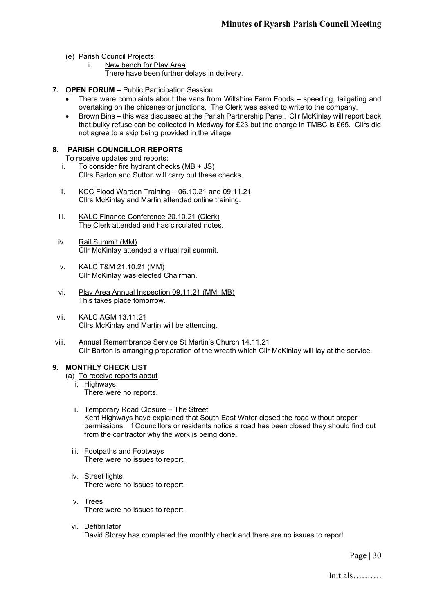- (e) Parish Council Projects:
	- i. New bench for Play Area
		- There have been further delays in delivery.
- **7. OPEN FORUM –** Public Participation Session
	- There were complaints about the vans from Wiltshire Farm Foods speeding, tailgating and overtaking on the chicanes or junctions. The Clerk was asked to write to the company.
	- Brown Bins this was discussed at the Parish Partnership Panel. Cllr McKinlay will report back that bulky refuse can be collected in Medway for £23 but the charge in TMBC is £65. Cllrs did not agree to a skip being provided in the village.

# **8. PARISH COUNCILLOR REPORTS**

- To receive updates and reports:
- i. To consider fire hydrant checks  $(MB + JS)$ Cllrs Barton and Sutton will carry out these checks.
- ii. KCC Flood Warden Training 06.10.21 and 09.11.21 Cllrs McKinlay and Martin attended online training.
- iii. KALC Finance Conference 20.10.21 (Clerk) The Clerk attended and has circulated notes.
- iv. Rail Summit (MM) Cllr McKinlay attended a virtual rail summit.
- v. KALC T&M 21.10.21 (MM) Cllr McKinlay was elected Chairman.
- vi. Play Area Annual Inspection 09.11.21 (MM, MB) This takes place tomorrow.
- vii. KALC AGM 13.11.21 Cllrs McKinlay and Martin will be attending.
- viii. Annual Remembrance Service St Martin's Church 14.11.21 Cllr Barton is arranging preparation of the wreath which Cllr McKinlay will lay at the service.

# **9. MONTHLY CHECK LIST**

- (a) To receive reports about
	- i. Highways There were no reports.
	- ii. Temporary Road Closure The Street Kent Highways have explained that South East Water closed the road without proper permissions. If Councillors or residents notice a road has been closed they should find out from the contractor why the work is being done.
	- iii. Footpaths and Footways There were no issues to report.
	- iv. Street lights There were no issues to report.
	- v. Trees There were no issues to report.
	- vi. Defibrillator David Storey has completed the monthly check and there are no issues to report.

Page | 30

Initials……….